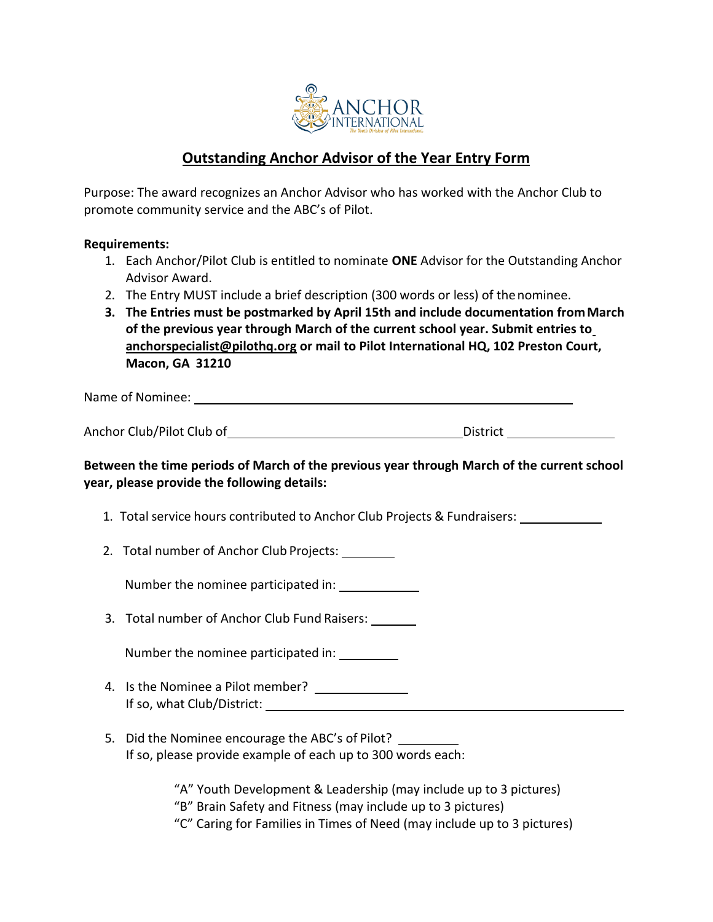

## **Outstanding Anchor Advisor of the Year Entry Form**

Purpose: The award recognizes an Anchor Advisor who has worked with the Anchor Club to promote community service and the ABC's of Pilot.

## **Requirements:**

- 1. Each Anchor/Pilot Club is entitled to nominate **ONE** Advisor for the Outstanding Anchor Advisor Award.
- 2. The Entry MUST include a brief description (300 words or less) of thenominee.
- **3. The Entries must be postmarked by April 15th and include documentation fromMarch of the previous year through March of the current school year. Submit entries t[o](mailto:anchorspecialist@pilothq.org) [anchorspecialist@pilothq.org](mailto:anchorspecialist@pilothq.org) or mail to Pilot International HQ, 102 Preston Court, Macon, GA 31210**

Name of Nominee:

Anchor Club/Pilot Club of District

**Between the time periods of March of the previous year through March of the current school year, please provide the following details:**

- 1. Total service hours contributed to Anchor Club Projects & Fundraisers:
- 2. Total number of Anchor Club Projects:

Number the nominee participated in:

3. Total number of Anchor Club Fund Raisers:

Number the nominee participated in:

- 4. Is the Nominee a Pilot member? If so, what Club/District:
- 5. Did the Nominee encourage the ABC's of Pilot? If so, please provide example of each up to 300 words each:

"A" Youth Development & Leadership (may include up to 3 pictures) "B" Brain Safety and Fitness (may include up to 3 pictures) "C" Caring for Families in Times of Need (may include up to 3 pictures)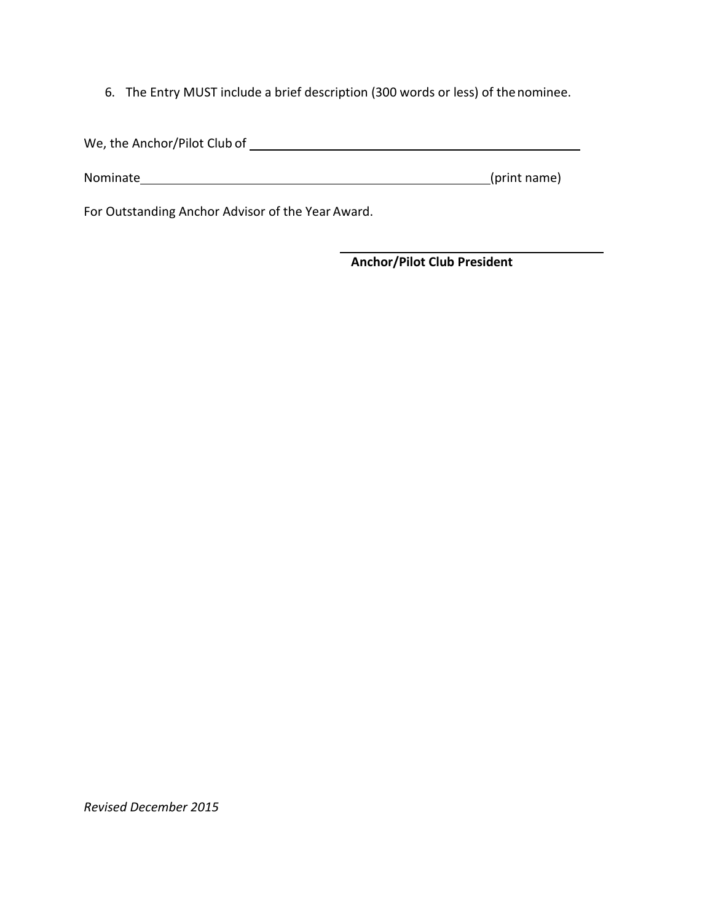6. The Entry MUST include a brief description (300 words or less) of thenominee.

| We, the Anchor/Pilot Club of |              |
|------------------------------|--------------|
| Nominate                     | (print name) |

For Outstanding Anchor Advisor of the Year Award.

**Anchor/Pilot Club President**

*Revised December 2015*